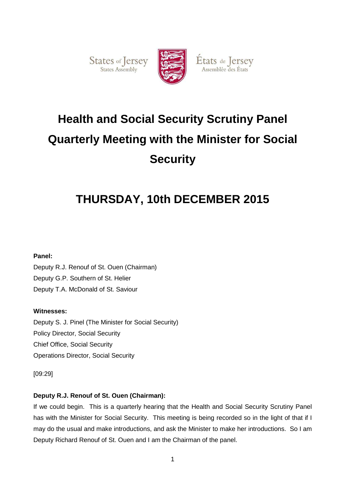States of Jersey



États de Jersey

# **Health and Social Security Scrutiny Panel Quarterly Meeting with the Minister for Social Security**

# **THURSDAY, 10th DECEMBER 2015**

# **Panel:**

Deputy R.J. Renouf of St. Ouen (Chairman) Deputy G.P. Southern of St. Helier Deputy T.A. McDonald of St. Saviour

# **Witnesses:**

Deputy S. J. Pinel (The Minister for Social Security) Policy Director, Social Security Chief Office, Social Security Operations Director, Social Security

[09:29]

# **Deputy R.J. Renouf of St. Ouen (Chairman):**

If we could begin. This is a quarterly hearing that the Health and Social Security Scrutiny Panel has with the Minister for Social Security. This meeting is being recorded so in the light of that if I may do the usual and make introductions, and ask the Minister to make her introductions. So I am Deputy Richard Renouf of St. Ouen and I am the Chairman of the panel.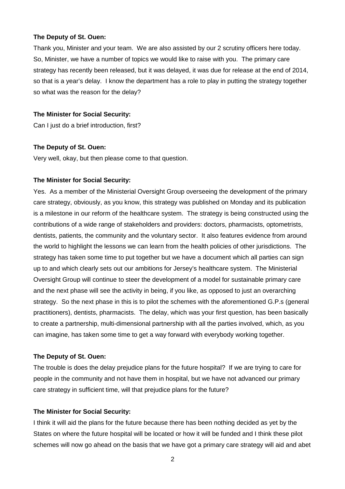#### **The Deputy of St. Ouen:**

Thank you, Minister and your team. We are also assisted by our 2 scrutiny officers here today. So, Minister, we have a number of topics we would like to raise with you. The primary care strategy has recently been released, but it was delayed, it was due for release at the end of 2014, so that is a year's delay. I know the department has a role to play in putting the strategy together so what was the reason for the delay?

#### **The Minister for Social Security:**

Can I just do a brief introduction, first?

#### **The Deputy of St. Ouen:**

Very well, okay, but then please come to that question.

#### **The Minister for Social Security:**

Yes. As a member of the Ministerial Oversight Group overseeing the development of the primary care strategy, obviously, as you know, this strategy was published on Monday and its publication is a milestone in our reform of the healthcare system. The strategy is being constructed using the contributions of a wide range of stakeholders and providers: doctors, pharmacists, optometrists, dentists, patients, the community and the voluntary sector. It also features evidence from around the world to highlight the lessons we can learn from the health policies of other jurisdictions. The strategy has taken some time to put together but we have a document which all parties can sign up to and which clearly sets out our ambitions for Jersey's healthcare system. The Ministerial Oversight Group will continue to steer the development of a model for sustainable primary care and the next phase will see the activity in being, if you like, as opposed to just an overarching strategy. So the next phase in this is to pilot the schemes with the aforementioned G.P.s (general practitioners), dentists, pharmacists. The delay, which was your first question, has been basically to create a partnership, multi-dimensional partnership with all the parties involved, which, as you can imagine, has taken some time to get a way forward with everybody working together.

#### **The Deputy of St. Ouen:**

The trouble is does the delay prejudice plans for the future hospital? If we are trying to care for people in the community and not have them in hospital, but we have not advanced our primary care strategy in sufficient time, will that prejudice plans for the future?

#### **The Minister for Social Security:**

I think it will aid the plans for the future because there has been nothing decided as yet by the States on where the future hospital will be located or how it will be funded and I think these pilot schemes will now go ahead on the basis that we have got a primary care strategy will aid and abet

2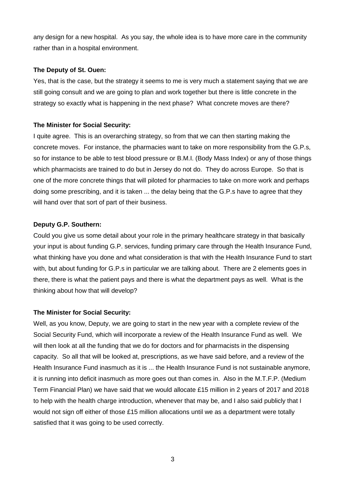any design for a new hospital. As you say, the whole idea is to have more care in the community rather than in a hospital environment.

# **The Deputy of St. Ouen:**

Yes, that is the case, but the strategy it seems to me is very much a statement saying that we are still going consult and we are going to plan and work together but there is little concrete in the strategy so exactly what is happening in the next phase? What concrete moves are there?

# **The Minister for Social Security:**

I quite agree. This is an overarching strategy, so from that we can then starting making the concrete moves. For instance, the pharmacies want to take on more responsibility from the G.P.s, so for instance to be able to test blood pressure or B.M.I. (Body Mass Index) or any of those things which pharmacists are trained to do but in Jersey do not do. They do across Europe. So that is one of the more concrete things that will piloted for pharmacies to take on more work and perhaps doing some prescribing, and it is taken ... the delay being that the G.P.s have to agree that they will hand over that sort of part of their business.

# **Deputy G.P. Southern:**

Could you give us some detail about your role in the primary healthcare strategy in that basically your input is about funding G.P. services, funding primary care through the Health Insurance Fund, what thinking have you done and what consideration is that with the Health Insurance Fund to start with, but about funding for G.P.s in particular we are talking about. There are 2 elements goes in there, there is what the patient pays and there is what the department pays as well. What is the thinking about how that will develop?

# **The Minister for Social Security:**

Well, as you know, Deputy, we are going to start in the new year with a complete review of the Social Security Fund, which will incorporate a review of the Health Insurance Fund as well. We will then look at all the funding that we do for doctors and for pharmacists in the dispensing capacity. So all that will be looked at, prescriptions, as we have said before, and a review of the Health Insurance Fund inasmuch as it is ... the Health Insurance Fund is not sustainable anymore, it is running into deficit inasmuch as more goes out than comes in. Also in the M.T.F.P. (Medium Term Financial Plan) we have said that we would allocate £15 million in 2 years of 2017 and 2018 to help with the health charge introduction, whenever that may be, and I also said publicly that I would not sign off either of those £15 million allocations until we as a department were totally satisfied that it was going to be used correctly.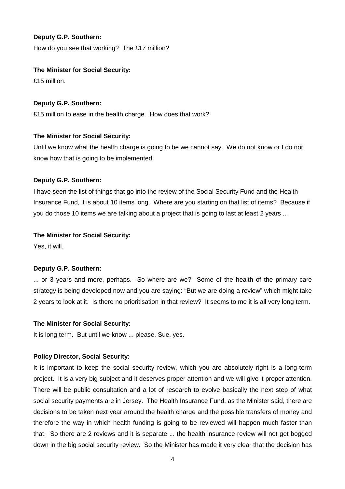# **Deputy G.P. Southern:**

How do you see that working? The £17 million?

# **The Minister for Social Security:**

£15 million.

# **Deputy G.P. Southern:**

£15 million to ease in the health charge. How does that work?

# **The Minister for Social Security:**

Until we know what the health charge is going to be we cannot say. We do not know or I do not know how that is going to be implemented.

# **Deputy G.P. Southern:**

I have seen the list of things that go into the review of the Social Security Fund and the Health Insurance Fund, it is about 10 items long. Where are you starting on that list of items? Because if you do those 10 items we are talking about a project that is going to last at least 2 years ...

# **The Minister for Social Security:**

Yes, it will.

# **Deputy G.P. Southern:**

... or 3 years and more, perhaps. So where are we? Some of the health of the primary care strategy is being developed now and you are saying: "But we are doing a review" which might take 2 years to look at it. Is there no prioritisation in that review? It seems to me it is all very long term.

# **The Minister for Social Security:**

It is long term. But until we know ... please, Sue, yes.

# **Policy Director, Social Security:**

It is important to keep the social security review, which you are absolutely right is a long-term project. It is a very big subject and it deserves proper attention and we will give it proper attention. There will be public consultation and a lot of research to evolve basically the next step of what social security payments are in Jersey. The Health Insurance Fund, as the Minister said, there are decisions to be taken next year around the health charge and the possible transfers of money and therefore the way in which health funding is going to be reviewed will happen much faster than that. So there are 2 reviews and it is separate ... the health insurance review will not get bogged down in the big social security review. So the Minister has made it very clear that the decision has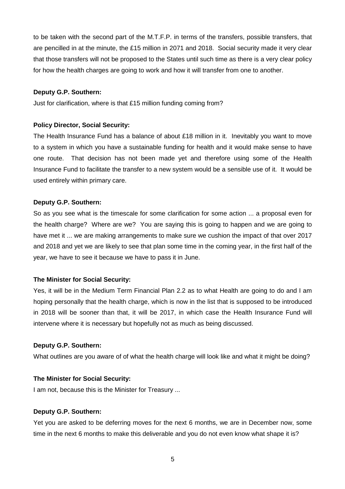to be taken with the second part of the M.T.F.P. in terms of the transfers, possible transfers, that are pencilled in at the minute, the £15 million in 2071 and 2018. Social security made it very clear that those transfers will not be proposed to the States until such time as there is a very clear policy for how the health charges are going to work and how it will transfer from one to another.

#### **Deputy G.P. Southern:**

Just for clarification, where is that £15 million funding coming from?

# **Policy Director, Social Security:**

The Health Insurance Fund has a balance of about £18 million in it. Inevitably you want to move to a system in which you have a sustainable funding for health and it would make sense to have one route. That decision has not been made yet and therefore using some of the Health Insurance Fund to facilitate the transfer to a new system would be a sensible use of it. It would be used entirely within primary care.

# **Deputy G.P. Southern:**

So as you see what is the timescale for some clarification for some action ... a proposal even for the health charge? Where are we? You are saying this is going to happen and we are going to have met it ... we are making arrangements to make sure we cushion the impact of that over 2017 and 2018 and yet we are likely to see that plan some time in the coming year, in the first half of the year, we have to see it because we have to pass it in June.

# **The Minister for Social Security:**

Yes, it will be in the Medium Term Financial Plan 2.2 as to what Health are going to do and I am hoping personally that the health charge, which is now in the list that is supposed to be introduced in 2018 will be sooner than that, it will be 2017, in which case the Health Insurance Fund will intervene where it is necessary but hopefully not as much as being discussed.

# **Deputy G.P. Southern:**

What outlines are you aware of of what the health charge will look like and what it might be doing?

# **The Minister for Social Security:**

I am not, because this is the Minister for Treasury ...

#### **Deputy G.P. Southern:**

Yet you are asked to be deferring moves for the next 6 months, we are in December now, some time in the next 6 months to make this deliverable and you do not even know what shape it is?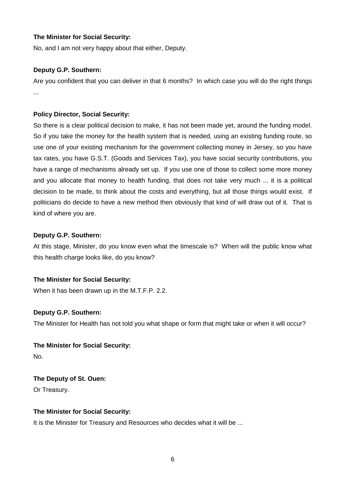No, and I am not very happy about that either, Deputy.

# **Deputy G.P. Southern:**

Are you confident that you can deliver in that 6 months? In which case you will do the right things ...

# **Policy Director, Social Security:**

So there is a clear political decision to make, it has not been made yet, around the funding model. So if you take the money for the health system that is needed, using an existing funding route, so use one of your existing mechanism for the government collecting money in Jersey, so you have tax rates, you have G.S.T. (Goods and Services Tax), you have social security contributions, you have a range of mechanisms already set up. If you use one of those to collect some more money and you allocate that money to health funding, that does not take very much ... it is a political decision to be made, to think about the costs and everything, but all those things would exist. If politicians do decide to have a new method then obviously that kind of will draw out of it. That is kind of where you are.

# **Deputy G.P. Southern:**

At this stage, Minister, do you know even what the timescale is? When will the public know what this health charge looks like, do you know?

# **The Minister for Social Security:**

When it has been drawn up in the M.T.F.P. 2.2.

# **Deputy G.P. Southern:**

The Minister for Health has not told you what shape or form that might take or when it will occur?

**The Minister for Social Security:**  No.

**The Deputy of St. Ouen:**  Or Treasury.

# **The Minister for Social Security:**

It is the Minister for Treasury and Resources who decides what it will be ...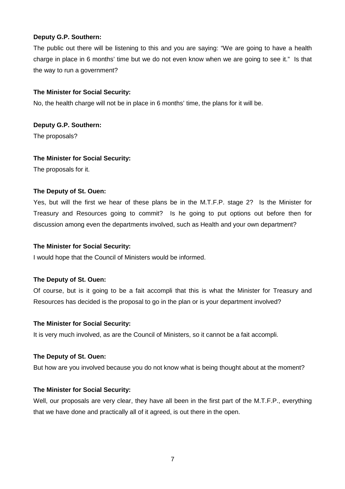# **Deputy G.P. Southern:**

The public out there will be listening to this and you are saying: "We are going to have a health charge in place in 6 months' time but we do not even know when we are going to see it." Is that the way to run a government?

# **The Minister for Social Security:**

No, the health charge will not be in place in 6 months' time, the plans for it will be.

# **Deputy G.P. Southern:**

The proposals?

# **The Minister for Social Security:**

The proposals for it.

# **The Deputy of St. Ouen:**

Yes, but will the first we hear of these plans be in the M.T.F.P. stage 2? Is the Minister for Treasury and Resources going to commit? Is he going to put options out before then for discussion among even the departments involved, such as Health and your own department?

# **The Minister for Social Security:**

I would hope that the Council of Ministers would be informed.

# **The Deputy of St. Ouen:**

Of course, but is it going to be a fait accompli that this is what the Minister for Treasury and Resources has decided is the proposal to go in the plan or is your department involved?

# **The Minister for Social Security:**

It is very much involved, as are the Council of Ministers, so it cannot be a fait accompli.

# **The Deputy of St. Ouen:**

But how are you involved because you do not know what is being thought about at the moment?

# **The Minister for Social Security:**

Well, our proposals are very clear, they have all been in the first part of the M.T.F.P., everything that we have done and practically all of it agreed, is out there in the open.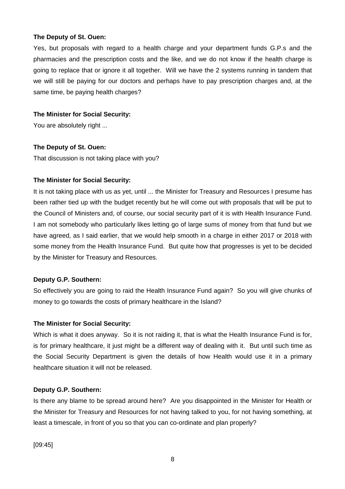#### **The Deputy of St. Ouen:**

Yes, but proposals with regard to a health charge and your department funds G.P.s and the pharmacies and the prescription costs and the like, and we do not know if the health charge is going to replace that or ignore it all together. Will we have the 2 systems running in tandem that we will still be paying for our doctors and perhaps have to pay prescription charges and, at the same time, be paying health charges?

# **The Minister for Social Security:**

You are absolutely right ...

# **The Deputy of St. Ouen:**

That discussion is not taking place with you?

# **The Minister for Social Security:**

It is not taking place with us as yet, until ... the Minister for Treasury and Resources I presume has been rather tied up with the budget recently but he will come out with proposals that will be put to the Council of Ministers and, of course, our social security part of it is with Health Insurance Fund. I am not somebody who particularly likes letting go of large sums of money from that fund but we have agreed, as I said earlier, that we would help smooth in a charge in either 2017 or 2018 with some money from the Health Insurance Fund. But quite how that progresses is yet to be decided by the Minister for Treasury and Resources.

# **Deputy G.P. Southern:**

So effectively you are going to raid the Health Insurance Fund again? So you will give chunks of money to go towards the costs of primary healthcare in the Island?

# **The Minister for Social Security:**

Which is what it does anyway. So it is not raiding it, that is what the Health Insurance Fund is for, is for primary healthcare, it just might be a different way of dealing with it. But until such time as the Social Security Department is given the details of how Health would use it in a primary healthcare situation it will not be released.

# **Deputy G.P. Southern:**

Is there any blame to be spread around here? Are you disappointed in the Minister for Health or the Minister for Treasury and Resources for not having talked to you, for not having something, at least a timescale, in front of you so that you can co-ordinate and plan properly?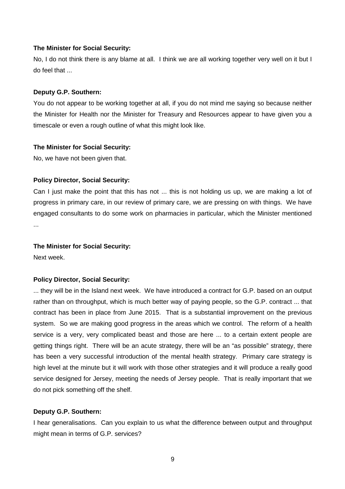No, I do not think there is any blame at all. I think we are all working together very well on it but I do feel that ...

#### **Deputy G.P. Southern:**

You do not appear to be working together at all, if you do not mind me saying so because neither the Minister for Health nor the Minister for Treasury and Resources appear to have given you a timescale or even a rough outline of what this might look like.

#### **The Minister for Social Security:**

No, we have not been given that.

#### **Policy Director, Social Security:**

Can I just make the point that this has not ... this is not holding us up, we are making a lot of progress in primary care, in our review of primary care, we are pressing on with things. We have engaged consultants to do some work on pharmacies in particular, which the Minister mentioned ...

#### **The Minister for Social Security:**

Next week.

#### **Policy Director, Social Security:**

... they will be in the Island next week. We have introduced a contract for G.P. based on an output rather than on throughput, which is much better way of paying people, so the G.P. contract ... that contract has been in place from June 2015. That is a substantial improvement on the previous system. So we are making good progress in the areas which we control. The reform of a health service is a very, very complicated beast and those are here ... to a certain extent people are getting things right. There will be an acute strategy, there will be an "as possible" strategy, there has been a very successful introduction of the mental health strategy. Primary care strategy is high level at the minute but it will work with those other strategies and it will produce a really good service designed for Jersey, meeting the needs of Jersey people. That is really important that we do not pick something off the shelf.

#### **Deputy G.P. Southern:**

I hear generalisations. Can you explain to us what the difference between output and throughput might mean in terms of G.P. services?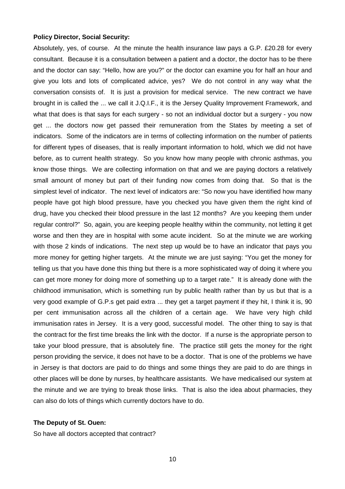Absolutely, yes, of course. At the minute the health insurance law pays a G.P. £20.28 for every consultant. Because it is a consultation between a patient and a doctor, the doctor has to be there and the doctor can say: "Hello, how are you?" or the doctor can examine you for half an hour and give you lots and lots of complicated advice, yes? We do not control in any way what the conversation consists of. It is just a provision for medical service. The new contract we have brought in is called the ... we call it J.Q.I.F., it is the Jersey Quality Improvement Framework, and what that does is that says for each surgery - so not an individual doctor but a surgery - you now get ... the doctors now get passed their remuneration from the States by meeting a set of indicators. Some of the indicators are in terms of collecting information on the number of patients for different types of diseases, that is really important information to hold, which we did not have before, as to current health strategy. So you know how many people with chronic asthmas, you know those things. We are collecting information on that and we are paying doctors a relatively small amount of money but part of their funding now comes from doing that. So that is the simplest level of indicator. The next level of indicators are: "So now you have identified how many people have got high blood pressure, have you checked you have given them the right kind of drug, have you checked their blood pressure in the last 12 months? Are you keeping them under regular control?" So, again, you are keeping people healthy within the community, not letting it get worse and then they are in hospital with some acute incident. So at the minute we are working with those 2 kinds of indications. The next step up would be to have an indicator that pays you more money for getting higher targets. At the minute we are just saying: "You get the money for telling us that you have done this thing but there is a more sophisticated way of doing it where you can get more money for doing more of something up to a target rate." It is already done with the childhood immunisation, which is something run by public health rather than by us but that is a very good example of G.P.s get paid extra ... they get a target payment if they hit, I think it is, 90 per cent immunisation across all the children of a certain age. We have very high child immunisation rates in Jersey. It is a very good, successful model. The other thing to say is that the contract for the first time breaks the link with the doctor. If a nurse is the appropriate person to take your blood pressure, that is absolutely fine. The practice still gets the money for the right person providing the service, it does not have to be a doctor. That is one of the problems we have in Jersey is that doctors are paid to do things and some things they are paid to do are things in other places will be done by nurses, by healthcare assistants. We have medicalised our system at the minute and we are trying to break those links. That is also the idea about pharmacies, they can also do lots of things which currently doctors have to do.

#### **The Deputy of St. Ouen:**

So have all doctors accepted that contract?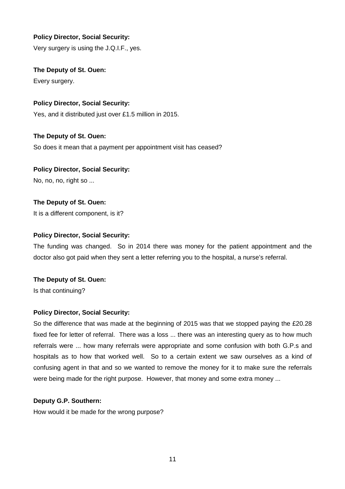Very surgery is using the J.Q.I.F., yes.

**The Deputy of St. Ouen:** 

Every surgery.

# **Policy Director, Social Security:**

Yes, and it distributed just over £1.5 million in 2015.

# **The Deputy of St. Ouen:**  So does it mean that a payment per appointment visit has ceased?

# **Policy Director, Social Security:**

No, no, no, right so ...

# **The Deputy of St. Ouen:**

It is a different component, is it?

# **Policy Director, Social Security:**

The funding was changed. So in 2014 there was money for the patient appointment and the doctor also got paid when they sent a letter referring you to the hospital, a nurse's referral.

# **The Deputy of St. Ouen:**

Is that continuing?

# **Policy Director, Social Security:**

So the difference that was made at the beginning of 2015 was that we stopped paying the £20.28 fixed fee for letter of referral. There was a loss ... there was an interesting query as to how much referrals were ... how many referrals were appropriate and some confusion with both G.P.s and hospitals as to how that worked well. So to a certain extent we saw ourselves as a kind of confusing agent in that and so we wanted to remove the money for it to make sure the referrals were being made for the right purpose. However, that money and some extra money ...

# **Deputy G.P. Southern:**

How would it be made for the wrong purpose?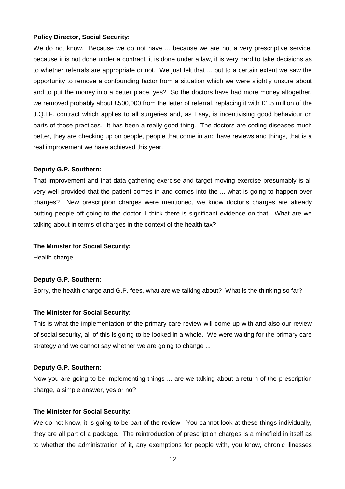We do not know. Because we do not have ... because we are not a very prescriptive service, because it is not done under a contract, it is done under a law, it is very hard to take decisions as to whether referrals are appropriate or not. We just felt that ... but to a certain extent we saw the opportunity to remove a confounding factor from a situation which we were slightly unsure about and to put the money into a better place, yes? So the doctors have had more money altogether, we removed probably about £500,000 from the letter of referral, replacing it with £1.5 million of the J.Q.I.F. contract which applies to all surgeries and, as I say, is incentivising good behaviour on parts of those practices. It has been a really good thing. The doctors are coding diseases much better, they are checking up on people, people that come in and have reviews and things, that is a real improvement we have achieved this year.

#### **Deputy G.P. Southern:**

That improvement and that data gathering exercise and target moving exercise presumably is all very well provided that the patient comes in and comes into the ... what is going to happen over charges? New prescription charges were mentioned, we know doctor's charges are already putting people off going to the doctor, I think there is significant evidence on that. What are we talking about in terms of charges in the context of the health tax?

#### **The Minister for Social Security:**

Health charge.

#### **Deputy G.P. Southern:**

Sorry, the health charge and G.P. fees, what are we talking about? What is the thinking so far?

#### **The Minister for Social Security:**

This is what the implementation of the primary care review will come up with and also our review of social security, all of this is going to be looked in a whole. We were waiting for the primary care strategy and we cannot say whether we are going to change ...

#### **Deputy G.P. Southern:**

Now you are going to be implementing things ... are we talking about a return of the prescription charge, a simple answer, yes or no?

# **The Minister for Social Security:**

We do not know, it is going to be part of the review. You cannot look at these things individually, they are all part of a package. The reintroduction of prescription charges is a minefield in itself as to whether the administration of it, any exemptions for people with, you know, chronic illnesses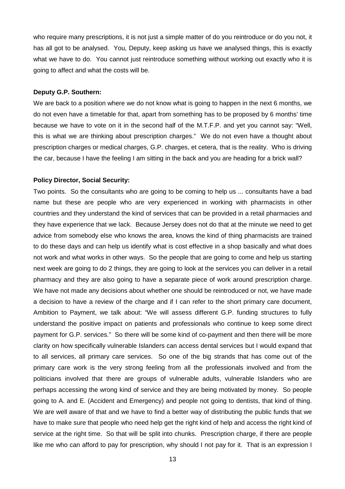who require many prescriptions, it is not just a simple matter of do you reintroduce or do you not, it has all got to be analysed. You, Deputy, keep asking us have we analysed things, this is exactly what we have to do. You cannot just reintroduce something without working out exactly who it is going to affect and what the costs will be.

#### **Deputy G.P. Southern:**

We are back to a position where we do not know what is going to happen in the next 6 months, we do not even have a timetable for that, apart from something has to be proposed by 6 months' time because we have to vote on it in the second half of the M.T.F.P. and yet you cannot say: "Well, this is what we are thinking about prescription charges." We do not even have a thought about prescription charges or medical charges, G.P. charges, et cetera, that is the reality. Who is driving the car, because I have the feeling I am sitting in the back and you are heading for a brick wall?

#### **Policy Director, Social Security:**

Two points. So the consultants who are going to be coming to help us ... consultants have a bad name but these are people who are very experienced in working with pharmacists in other countries and they understand the kind of services that can be provided in a retail pharmacies and they have experience that we lack. Because Jersey does not do that at the minute we need to get advice from somebody else who knows the area, knows the kind of thing pharmacists are trained to do these days and can help us identify what is cost effective in a shop basically and what does not work and what works in other ways. So the people that are going to come and help us starting next week are going to do 2 things, they are going to look at the services you can deliver in a retail pharmacy and they are also going to have a separate piece of work around prescription charge. We have not made any decisions about whether one should be reintroduced or not, we have made a decision to have a review of the charge and if I can refer to the short primary care document, Ambition to Payment, we talk about: "We will assess different G.P. funding structures to fully understand the positive impact on patients and professionals who continue to keep some direct payment for G.P. services." So there will be some kind of co-payment and then there will be more clarity on how specifically vulnerable Islanders can access dental services but I would expand that to all services, all primary care services. So one of the big strands that has come out of the primary care work is the very strong feeling from all the professionals involved and from the politicians involved that there are groups of vulnerable adults, vulnerable Islanders who are perhaps accessing the wrong kind of service and they are being motivated by money. So people going to A. and E. (Accident and Emergency) and people not going to dentists, that kind of thing. We are well aware of that and we have to find a better way of distributing the public funds that we have to make sure that people who need help get the right kind of help and access the right kind of service at the right time. So that will be split into chunks. Prescription charge, if there are people like me who can afford to pay for prescription, why should I not pay for it. That is an expression I

13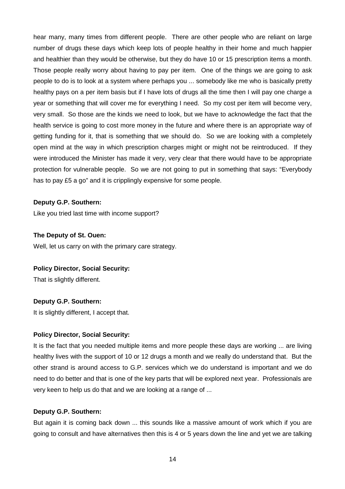hear many, many times from different people. There are other people who are reliant on large number of drugs these days which keep lots of people healthy in their home and much happier and healthier than they would be otherwise, but they do have 10 or 15 prescription items a month. Those people really worry about having to pay per item. One of the things we are going to ask people to do is to look at a system where perhaps you ... somebody like me who is basically pretty healthy pays on a per item basis but if I have lots of drugs all the time then I will pay one charge a year or something that will cover me for everything I need. So my cost per item will become very, very small. So those are the kinds we need to look, but we have to acknowledge the fact that the health service is going to cost more money in the future and where there is an appropriate way of getting funding for it, that is something that we should do. So we are looking with a completely open mind at the way in which prescription charges might or might not be reintroduced. If they were introduced the Minister has made it very, very clear that there would have to be appropriate protection for vulnerable people. So we are not going to put in something that says: "Everybody has to pay £5 a go" and it is cripplingly expensive for some people.

#### **Deputy G.P. Southern:**

Like you tried last time with income support?

#### **The Deputy of St. Ouen:**

Well, let us carry on with the primary care strategy.

#### **Policy Director, Social Security:**

That is slightly different.

# **Deputy G.P. Southern:**

It is slightly different, I accept that.

# **Policy Director, Social Security:**

It is the fact that you needed multiple items and more people these days are working ... are living healthy lives with the support of 10 or 12 drugs a month and we really do understand that. But the other strand is around access to G.P. services which we do understand is important and we do need to do better and that is one of the key parts that will be explored next year. Professionals are very keen to help us do that and we are looking at a range of ...

# **Deputy G.P. Southern:**

But again it is coming back down ... this sounds like a massive amount of work which if you are going to consult and have alternatives then this is 4 or 5 years down the line and yet we are talking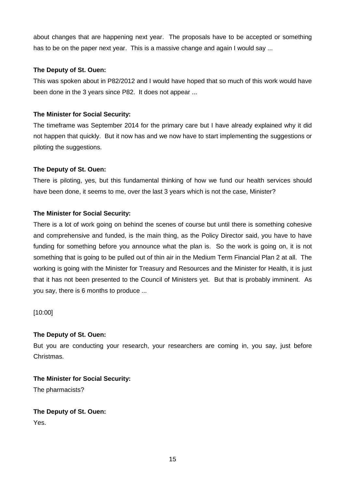about changes that are happening next year. The proposals have to be accepted or something has to be on the paper next year. This is a massive change and again I would say ...

# **The Deputy of St. Ouen:**

This was spoken about in P82/2012 and I would have hoped that so much of this work would have been done in the 3 years since P82. It does not appear ...

# **The Minister for Social Security:**

The timeframe was September 2014 for the primary care but I have already explained why it did not happen that quickly. But it now has and we now have to start implementing the suggestions or piloting the suggestions.

# **The Deputy of St. Ouen:**

There is piloting, yes, but this fundamental thinking of how we fund our health services should have been done, it seems to me, over the last 3 years which is not the case, Minister?

# **The Minister for Social Security:**

There is a lot of work going on behind the scenes of course but until there is something cohesive and comprehensive and funded, is the main thing, as the Policy Director said, you have to have funding for something before you announce what the plan is. So the work is going on, it is not something that is going to be pulled out of thin air in the Medium Term Financial Plan 2 at all. The working is going with the Minister for Treasury and Resources and the Minister for Health, it is just that it has not been presented to the Council of Ministers yet. But that is probably imminent. As you say, there is 6 months to produce ...

[10:00]

# **The Deputy of St. Ouen:**

But you are conducting your research, your researchers are coming in, you say, just before Christmas.

**The Minister for Social Security:**  The pharmacists?

**The Deputy of St. Ouen:** 

Yes.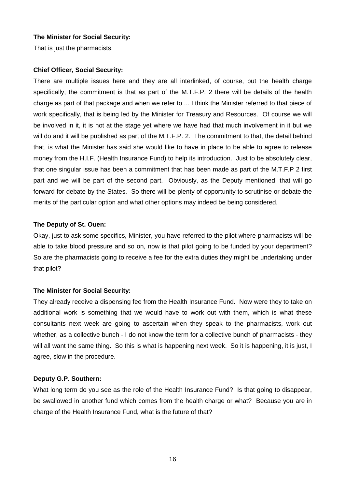That is just the pharmacists.

#### **Chief Officer, Social Security:**

There are multiple issues here and they are all interlinked, of course, but the health charge specifically, the commitment is that as part of the M.T.F.P. 2 there will be details of the health charge as part of that package and when we refer to ... I think the Minister referred to that piece of work specifically, that is being led by the Minister for Treasury and Resources. Of course we will be involved in it, it is not at the stage yet where we have had that much involvement in it but we will do and it will be published as part of the M.T.F.P. 2. The commitment to that, the detail behind that, is what the Minister has said she would like to have in place to be able to agree to release money from the H.I.F. (Health Insurance Fund) to help its introduction. Just to be absolutely clear, that one singular issue has been a commitment that has been made as part of the M.T.F.P 2 first part and we will be part of the second part. Obviously, as the Deputy mentioned, that will go forward for debate by the States. So there will be plenty of opportunity to scrutinise or debate the merits of the particular option and what other options may indeed be being considered.

#### **The Deputy of St. Ouen:**

Okay, just to ask some specifics, Minister, you have referred to the pilot where pharmacists will be able to take blood pressure and so on, now is that pilot going to be funded by your department? So are the pharmacists going to receive a fee for the extra duties they might be undertaking under that pilot?

# **The Minister for Social Security:**

They already receive a dispensing fee from the Health Insurance Fund. Now were they to take on additional work is something that we would have to work out with them, which is what these consultants next week are going to ascertain when they speak to the pharmacists, work out whether, as a collective bunch - I do not know the term for a collective bunch of pharmacists - they will all want the same thing. So this is what is happening next week. So it is happening, it is just, I agree, slow in the procedure.

# **Deputy G.P. Southern:**

What long term do you see as the role of the Health Insurance Fund? Is that going to disappear, be swallowed in another fund which comes from the health charge or what? Because you are in charge of the Health Insurance Fund, what is the future of that?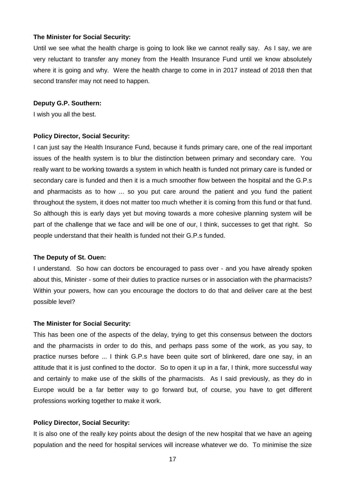Until we see what the health charge is going to look like we cannot really say. As I say, we are very reluctant to transfer any money from the Health Insurance Fund until we know absolutely where it is going and why. Were the health charge to come in in 2017 instead of 2018 then that second transfer may not need to happen.

#### **Deputy G.P. Southern:**

I wish you all the best.

#### **Policy Director, Social Security:**

I can just say the Health Insurance Fund, because it funds primary care, one of the real important issues of the health system is to blur the distinction between primary and secondary care. You really want to be working towards a system in which health is funded not primary care is funded or secondary care is funded and then it is a much smoother flow between the hospital and the G.P.s and pharmacists as to how ... so you put care around the patient and you fund the patient throughout the system, it does not matter too much whether it is coming from this fund or that fund. So although this is early days yet but moving towards a more cohesive planning system will be part of the challenge that we face and will be one of our, I think, successes to get that right. So people understand that their health is funded not their G.P.s funded.

#### **The Deputy of St. Ouen:**

I understand. So how can doctors be encouraged to pass over - and you have already spoken about this, Minister - some of their duties to practice nurses or in association with the pharmacists? Within your powers, how can you encourage the doctors to do that and deliver care at the best possible level?

#### **The Minister for Social Security:**

This has been one of the aspects of the delay, trying to get this consensus between the doctors and the pharmacists in order to do this, and perhaps pass some of the work, as you say, to practice nurses before ... I think G.P.s have been quite sort of blinkered, dare one say, in an attitude that it is just confined to the doctor. So to open it up in a far, I think, more successful way and certainly to make use of the skills of the pharmacists. As I said previously, as they do in Europe would be a far better way to go forward but, of course, you have to get different professions working together to make it work.

#### **Policy Director, Social Security:**

It is also one of the really key points about the design of the new hospital that we have an ageing population and the need for hospital services will increase whatever we do. To minimise the size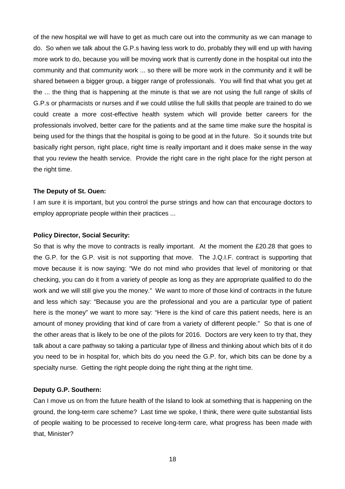of the new hospital we will have to get as much care out into the community as we can manage to do. So when we talk about the G.P.s having less work to do, probably they will end up with having more work to do, because you will be moving work that is currently done in the hospital out into the community and that community work ... so there will be more work in the community and it will be shared between a bigger group, a bigger range of professionals. You will find that what you get at the ... the thing that is happening at the minute is that we are not using the full range of skills of G.P.s or pharmacists or nurses and if we could utilise the full skills that people are trained to do we could create a more cost-effective health system which will provide better careers for the professionals involved, better care for the patients and at the same time make sure the hospital is being used for the things that the hospital is going to be good at in the future. So it sounds trite but basically right person, right place, right time is really important and it does make sense in the way that you review the health service. Provide the right care in the right place for the right person at the right time.

#### **The Deputy of St. Ouen:**

I am sure it is important, but you control the purse strings and how can that encourage doctors to employ appropriate people within their practices ...

#### **Policy Director, Social Security:**

So that is why the move to contracts is really important. At the moment the £20.28 that goes to the G.P. for the G.P. visit is not supporting that move. The J.Q.I.F. contract is supporting that move because it is now saying: "We do not mind who provides that level of monitoring or that checking, you can do it from a variety of people as long as they are appropriate qualified to do the work and we will still give you the money." We want to more of those kind of contracts in the future and less which say: "Because you are the professional and you are a particular type of patient here is the money" we want to more say: "Here is the kind of care this patient needs, here is an amount of money providing that kind of care from a variety of different people." So that is one of the other areas that is likely to be one of the pilots for 2016. Doctors are very keen to try that, they talk about a care pathway so taking a particular type of illness and thinking about which bits of it do you need to be in hospital for, which bits do you need the G.P. for, which bits can be done by a specialty nurse. Getting the right people doing the right thing at the right time.

#### **Deputy G.P. Southern:**

Can I move us on from the future health of the Island to look at something that is happening on the ground, the long-term care scheme? Last time we spoke, I think, there were quite substantial lists of people waiting to be processed to receive long-term care, what progress has been made with that, Minister?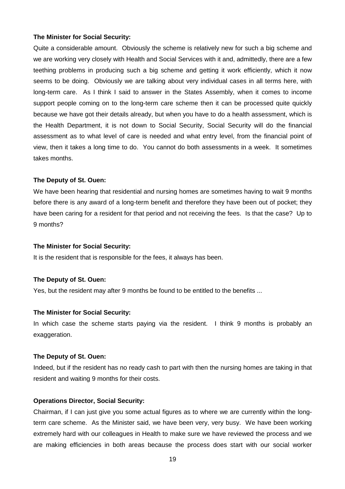Quite a considerable amount. Obviously the scheme is relatively new for such a big scheme and we are working very closely with Health and Social Services with it and, admittedly, there are a few teething problems in producing such a big scheme and getting it work efficiently, which it now seems to be doing. Obviously we are talking about very individual cases in all terms here, with long-term care. As I think I said to answer in the States Assembly, when it comes to income support people coming on to the long-term care scheme then it can be processed quite quickly because we have got their details already, but when you have to do a health assessment, which is the Health Department, it is not down to Social Security, Social Security will do the financial assessment as to what level of care is needed and what entry level, from the financial point of view, then it takes a long time to do. You cannot do both assessments in a week. It sometimes takes months.

#### **The Deputy of St. Ouen:**

We have been hearing that residential and nursing homes are sometimes having to wait 9 months before there is any award of a long-term benefit and therefore they have been out of pocket; they have been caring for a resident for that period and not receiving the fees. Is that the case? Up to 9 months?

#### **The Minister for Social Security:**

It is the resident that is responsible for the fees, it always has been.

#### **The Deputy of St. Ouen:**

Yes, but the resident may after 9 months be found to be entitled to the benefits ...

#### **The Minister for Social Security:**

In which case the scheme starts paying via the resident. I think 9 months is probably an exaggeration.

#### **The Deputy of St. Ouen:**

Indeed, but if the resident has no ready cash to part with then the nursing homes are taking in that resident and waiting 9 months for their costs.

#### **Operations Director, Social Security:**

Chairman, if I can just give you some actual figures as to where we are currently within the longterm care scheme. As the Minister said, we have been very, very busy. We have been working extremely hard with our colleagues in Health to make sure we have reviewed the process and we are making efficiencies in both areas because the process does start with our social worker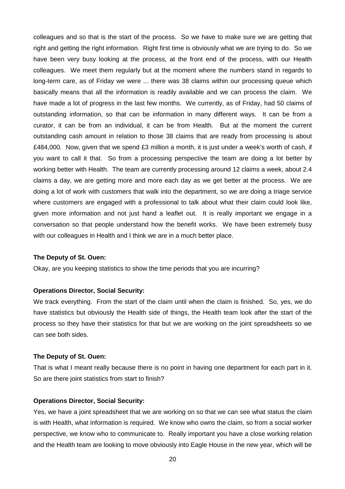colleagues and so that is the start of the process. So we have to make sure we are getting that right and getting the right information. Right first time is obviously what we are trying to do. So we have been very busy looking at the process, at the front end of the process, with our Health colleagues. We meet them regularly but at the moment where the numbers stand in regards to long-term care, as of Friday we were ... there was 38 claims within our processing queue which basically means that all the information is readily available and we can process the claim. We have made a lot of progress in the last few months. We currently, as of Friday, had 50 claims of outstanding information, so that can be information in many different ways. It can be from a curator, it can be from an individual, it can be from Health. But at the moment the current outstanding cash amount in relation to those 38 claims that are ready from processing is about £484,000. Now, given that we spend £3 million a month, it is just under a week's worth of cash, if you want to call it that. So from a processing perspective the team are doing a lot better by working better with Health. The team are currently processing around 12 claims a week, about 2.4 claims a day, we are getting more and more each day as we get better at the process. We are doing a lot of work with customers that walk into the department, so we are doing a triage service where customers are engaged with a professional to talk about what their claim could look like, given more information and not just hand a leaflet out. It is really important we engage in a conversation so that people understand how the benefit works. We have been extremely busy with our colleagues in Health and I think we are in a much better place.

#### **The Deputy of St. Ouen:**

Okay, are you keeping statistics to show the time periods that you are incurring?

#### **Operations Director, Social Security:**

We track everything. From the start of the claim until when the claim is finished. So, yes, we do have statistics but obviously the Health side of things, the Health team look after the start of the process so they have their statistics for that but we are working on the joint spreadsheets so we can see both sides.

#### **The Deputy of St. Ouen:**

That is what I meant really because there is no point in having one department for each part in it. So are there joint statistics from start to finish?

#### **Operations Director, Social Security:**

Yes, we have a joint spreadsheet that we are working on so that we can see what status the claim is with Health, what information is required. We know who owns the claim, so from a social worker perspective, we know who to communicate to. Really important you have a close working relation and the Health team are looking to move obviously into Eagle House in the new year, which will be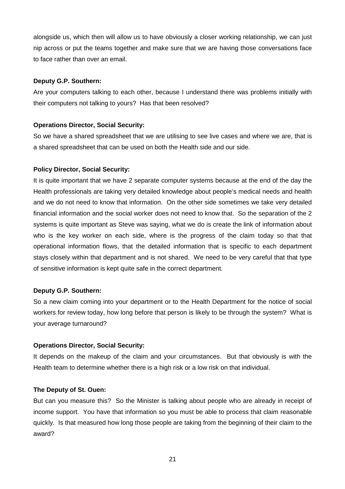alongside us, which then will allow us to have obviously a closer working relationship, we can just nip across or put the teams together and make sure that we are having those conversations face to face rather than over an email.

# **Deputy G.P. Southern:**

Are your computers talking to each other, because I understand there was problems initially with their computers not talking to yours? Has that been resolved?

# **Operations Director, Social Security:**

So we have a shared spreadsheet that we are utilising to see live cases and where we are, that is a shared spreadsheet that can be used on both the Health side and our side.

# **Policy Director, Social Security:**

It is quite important that we have 2 separate computer systems because at the end of the day the Health professionals are taking very detailed knowledge about people's medical needs and health and we do not need to know that information. On the other side sometimes we take very detailed financial information and the social worker does not need to know that. So the separation of the 2 systems is quite important as Steve was saying, what we do is create the link of information about who is the key worker on each side, where is the progress of the claim today so that that operational information flows, that the detailed information that is specific to each department stays closely within that department and is not shared. We need to be very careful that that type of sensitive information is kept quite safe in the correct department.

# **Deputy G.P. Southern:**

So a new claim coming into your department or to the Health Department for the notice of social workers for review today, how long before that person is likely to be through the system? What is your average turnaround?

# **Operations Director, Social Security:**

It depends on the makeup of the claim and your circumstances. But that obviously is with the Health team to determine whether there is a high risk or a low risk on that individual.

# **The Deputy of St. Ouen:**

But can you measure this? So the Minister is talking about people who are already in receipt of income support. You have that information so you must be able to process that claim reasonable quickly. Is that measured how long those people are taking from the beginning of their claim to the award?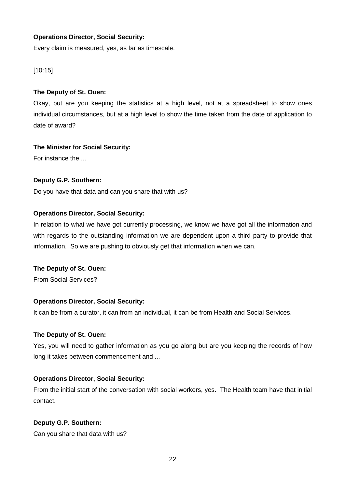# **Operations Director, Social Security:**

Every claim is measured, yes, as far as timescale.

# [10:15]

# **The Deputy of St. Ouen:**

Okay, but are you keeping the statistics at a high level, not at a spreadsheet to show ones individual circumstances, but at a high level to show the time taken from the date of application to date of award?

# **The Minister for Social Security:**

For instance the ...

# **Deputy G.P. Southern:**

Do you have that data and can you share that with us?

# **Operations Director, Social Security:**

In relation to what we have got currently processing, we know we have got all the information and with regards to the outstanding information we are dependent upon a third party to provide that information. So we are pushing to obviously get that information when we can.

# **The Deputy of St. Ouen:**

From Social Services?

# **Operations Director, Social Security:**

It can be from a curator, it can from an individual, it can be from Health and Social Services.

# **The Deputy of St. Ouen:**

Yes, you will need to gather information as you go along but are you keeping the records of how long it takes between commencement and ...

# **Operations Director, Social Security:**

From the initial start of the conversation with social workers, yes. The Health team have that initial contact.

# **Deputy G.P. Southern:**

Can you share that data with us?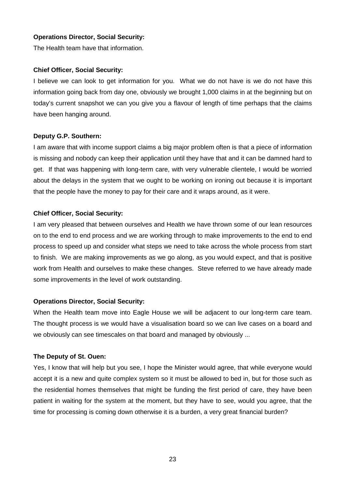# **Operations Director, Social Security:**

The Health team have that information.

#### **Chief Officer, Social Security:**

I believe we can look to get information for you. What we do not have is we do not have this information going back from day one, obviously we brought 1,000 claims in at the beginning but on today's current snapshot we can you give you a flavour of length of time perhaps that the claims have been hanging around.

#### **Deputy G.P. Southern:**

I am aware that with income support claims a big major problem often is that a piece of information is missing and nobody can keep their application until they have that and it can be damned hard to get. If that was happening with long-term care, with very vulnerable clientele, I would be worried about the delays in the system that we ought to be working on ironing out because it is important that the people have the money to pay for their care and it wraps around, as it were.

# **Chief Officer, Social Security:**

I am very pleased that between ourselves and Health we have thrown some of our lean resources on to the end to end process and we are working through to make improvements to the end to end process to speed up and consider what steps we need to take across the whole process from start to finish. We are making improvements as we go along, as you would expect, and that is positive work from Health and ourselves to make these changes. Steve referred to we have already made some improvements in the level of work outstanding.

# **Operations Director, Social Security:**

When the Health team move into Eagle House we will be adjacent to our long-term care team. The thought process is we would have a visualisation board so we can live cases on a board and we obviously can see timescales on that board and managed by obviously ...

#### **The Deputy of St. Ouen:**

Yes, I know that will help but you see, I hope the Minister would agree, that while everyone would accept it is a new and quite complex system so it must be allowed to bed in, but for those such as the residential homes themselves that might be funding the first period of care, they have been patient in waiting for the system at the moment, but they have to see, would you agree, that the time for processing is coming down otherwise it is a burden, a very great financial burden?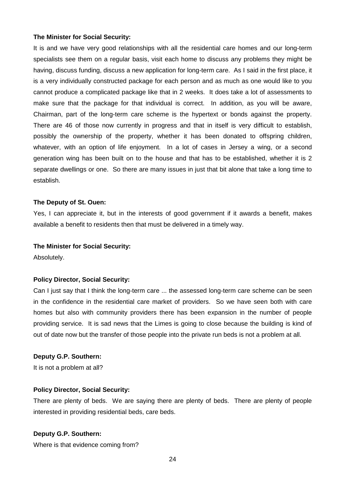It is and we have very good relationships with all the residential care homes and our long-term specialists see them on a regular basis, visit each home to discuss any problems they might be having, discuss funding, discuss a new application for long-term care. As I said in the first place, it is a very individually constructed package for each person and as much as one would like to you cannot produce a complicated package like that in 2 weeks. It does take a lot of assessments to make sure that the package for that individual is correct. In addition, as you will be aware, Chairman, part of the long-term care scheme is the hypertext or bonds against the property. There are 46 of those now currently in progress and that in itself is very difficult to establish, possibly the ownership of the property, whether it has been donated to offspring children, whatever, with an option of life enjoyment. In a lot of cases in Jersey a wing, or a second generation wing has been built on to the house and that has to be established, whether it is 2 separate dwellings or one. So there are many issues in just that bit alone that take a long time to establish.

#### **The Deputy of St. Ouen:**

Yes, I can appreciate it, but in the interests of good government if it awards a benefit, makes available a benefit to residents then that must be delivered in a timely way.

#### **The Minister for Social Security:**

Absolutely.

#### **Policy Director, Social Security:**

Can I just say that I think the long-term care ... the assessed long-term care scheme can be seen in the confidence in the residential care market of providers. So we have seen both with care homes but also with community providers there has been expansion in the number of people providing service. It is sad news that the Limes is going to close because the building is kind of out of date now but the transfer of those people into the private run beds is not a problem at all.

#### **Deputy G.P. Southern:**

It is not a problem at all?

#### **Policy Director, Social Security:**

There are plenty of beds. We are saying there are plenty of beds. There are plenty of people interested in providing residential beds, care beds.

#### **Deputy G.P. Southern:**

Where is that evidence coming from?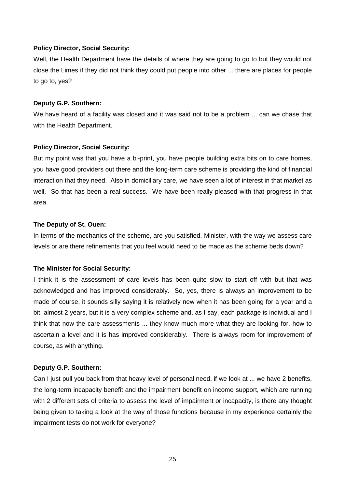Well, the Health Department have the details of where they are going to go to but they would not close the Limes if they did not think they could put people into other ... there are places for people to go to, yes?

#### **Deputy G.P. Southern:**

We have heard of a facility was closed and it was said not to be a problem ... can we chase that with the Health Department.

# **Policy Director, Social Security:**

But my point was that you have a bi-print, you have people building extra bits on to care homes, you have good providers out there and the long-term care scheme is providing the kind of financial interaction that they need. Also in domiciliary care, we have seen a lot of interest in that market as well. So that has been a real success. We have been really pleased with that progress in that area.

#### **The Deputy of St. Ouen:**

In terms of the mechanics of the scheme, are you satisfied, Minister, with the way we assess care levels or are there refinements that you feel would need to be made as the scheme beds down?

# **The Minister for Social Security:**

I think it is the assessment of care levels has been quite slow to start off with but that was acknowledged and has improved considerably. So, yes, there is always an improvement to be made of course, it sounds silly saying it is relatively new when it has been going for a year and a bit, almost 2 years, but it is a very complex scheme and, as I say, each package is individual and I think that now the care assessments ... they know much more what they are looking for, how to ascertain a level and it is has improved considerably. There is always room for improvement of course, as with anything.

# **Deputy G.P. Southern:**

Can I just pull you back from that heavy level of personal need, if we look at ... we have 2 benefits, the long-term incapacity benefit and the impairment benefit on income support, which are running with 2 different sets of criteria to assess the level of impairment or incapacity, is there any thought being given to taking a look at the way of those functions because in my experience certainly the impairment tests do not work for everyone?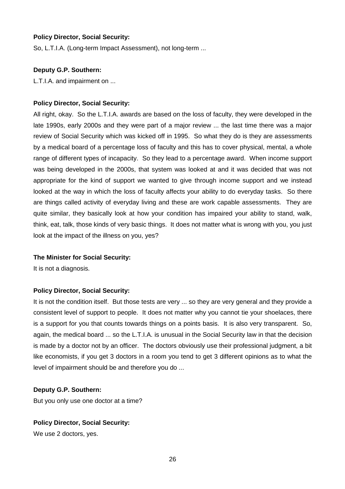So, L.T.I.A. (Long-term Impact Assessment), not long-term ...

# **Deputy G.P. Southern:**

L.T.I.A. and impairment on ...

# **Policy Director, Social Security:**

All right, okay. So the L.T.I.A. awards are based on the loss of faculty, they were developed in the late 1990s, early 2000s and they were part of a major review ... the last time there was a major review of Social Security which was kicked off in 1995. So what they do is they are assessments by a medical board of a percentage loss of faculty and this has to cover physical, mental, a whole range of different types of incapacity. So they lead to a percentage award. When income support was being developed in the 2000s, that system was looked at and it was decided that was not appropriate for the kind of support we wanted to give through income support and we instead looked at the way in which the loss of faculty affects your ability to do everyday tasks. So there are things called activity of everyday living and these are work capable assessments. They are quite similar, they basically look at how your condition has impaired your ability to stand, walk, think, eat, talk, those kinds of very basic things. It does not matter what is wrong with you, you just look at the impact of the illness on you, yes?

# **The Minister for Social Security:**

It is not a diagnosis.

# **Policy Director, Social Security:**

It is not the condition itself. But those tests are very ... so they are very general and they provide a consistent level of support to people. It does not matter why you cannot tie your shoelaces, there is a support for you that counts towards things on a points basis. It is also very transparent. So, again, the medical board ... so the L.T.I.A. is unusual in the Social Security law in that the decision is made by a doctor not by an officer. The doctors obviously use their professional judgment, a bit like economists, if you get 3 doctors in a room you tend to get 3 different opinions as to what the level of impairment should be and therefore you do ...

# **Deputy G.P. Southern:**

But you only use one doctor at a time?

# **Policy Director, Social Security:**

We use 2 doctors, yes.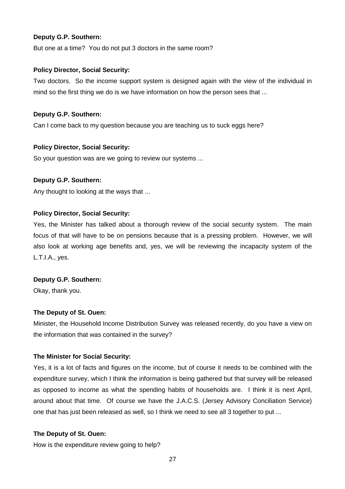# **Deputy G.P. Southern:**

But one at a time? You do not put 3 doctors in the same room?

# **Policy Director, Social Security:**

Two doctors. So the income support system is designed again with the view of the individual in mind so the first thing we do is we have information on how the person sees that ...

# **Deputy G.P. Southern:**

Can I come back to my question because you are teaching us to suck eggs here?

# **Policy Director, Social Security:**

So your question was are we going to review our systems ...

# **Deputy G.P. Southern:**

Any thought to looking at the ways that ...

# **Policy Director, Social Security:**

Yes, the Minister has talked about a thorough review of the social security system. The main focus of that will have to be on pensions because that is a pressing problem. However, we will also look at working age benefits and, yes, we will be reviewing the incapacity system of the L.T.I.A., yes.

# **Deputy G.P. Southern:**

Okay, thank you.

# **The Deputy of St. Ouen:**

Minister, the Household Income Distribution Survey was released recently, do you have a view on the information that was contained in the survey?

# **The Minister for Social Security:**

Yes, it is a lot of facts and figures on the income, but of course it needs to be combined with the expenditure survey, which I think the information is being gathered but that survey will be released as opposed to income as what the spending habits of households are. I think it is next April, around about that time. Of course we have the J.A.C.S. (Jersey Advisory Conciliation Service) one that has just been released as well, so I think we need to see all 3 together to put ...

# **The Deputy of St. Ouen:**

How is the expenditure review going to help?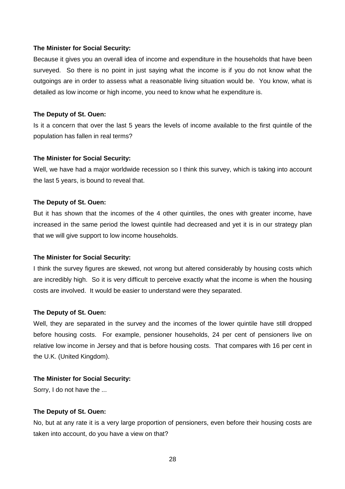Because it gives you an overall idea of income and expenditure in the households that have been surveyed. So there is no point in just saying what the income is if you do not know what the outgoings are in order to assess what a reasonable living situation would be. You know, what is detailed as low income or high income, you need to know what he expenditure is.

#### **The Deputy of St. Ouen:**

Is it a concern that over the last 5 years the levels of income available to the first quintile of the population has fallen in real terms?

#### **The Minister for Social Security:**

Well, we have had a major worldwide recession so I think this survey, which is taking into account the last 5 years, is bound to reveal that.

#### **The Deputy of St. Ouen:**

But it has shown that the incomes of the 4 other quintiles, the ones with greater income, have increased in the same period the lowest quintile had decreased and yet it is in our strategy plan that we will give support to low income households.

#### **The Minister for Social Security:**

I think the survey figures are skewed, not wrong but altered considerably by housing costs which are incredibly high. So it is very difficult to perceive exactly what the income is when the housing costs are involved. It would be easier to understand were they separated.

#### **The Deputy of St. Ouen:**

Well, they are separated in the survey and the incomes of the lower quintile have still dropped before housing costs. For example, pensioner households, 24 per cent of pensioners live on relative low income in Jersey and that is before housing costs. That compares with 16 per cent in the U.K. (United Kingdom).

#### **The Minister for Social Security:**

Sorry, I do not have the ...

#### **The Deputy of St. Ouen:**

No, but at any rate it is a very large proportion of pensioners, even before their housing costs are taken into account, do you have a view on that?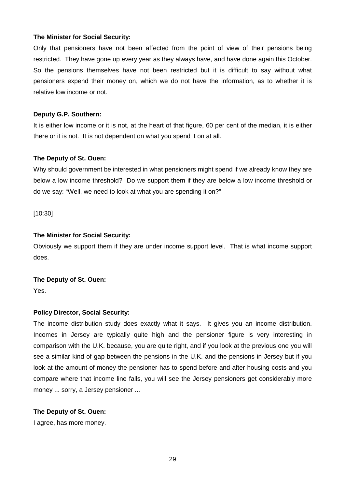Only that pensioners have not been affected from the point of view of their pensions being restricted. They have gone up every year as they always have, and have done again this October. So the pensions themselves have not been restricted but it is difficult to say without what pensioners expend their money on, which we do not have the information, as to whether it is relative low income or not.

# **Deputy G.P. Southern:**

It is either low income or it is not, at the heart of that figure, 60 per cent of the median, it is either there or it is not. It is not dependent on what you spend it on at all.

#### **The Deputy of St. Ouen:**

Why should government be interested in what pensioners might spend if we already know they are below a low income threshold? Do we support them if they are below a low income threshold or do we say: "Well, we need to look at what you are spending it on?"

[10:30]

#### **The Minister for Social Security:**

Obviously we support them if they are under income support level. That is what income support does.

#### **The Deputy of St. Ouen:**

Yes.

# **Policy Director, Social Security:**

The income distribution study does exactly what it says. It gives you an income distribution. Incomes in Jersey are typically quite high and the pensioner figure is very interesting in comparison with the U.K. because, you are quite right, and if you look at the previous one you will see a similar kind of gap between the pensions in the U.K. and the pensions in Jersey but if you look at the amount of money the pensioner has to spend before and after housing costs and you compare where that income line falls, you will see the Jersey pensioners get considerably more money ... sorry, a Jersey pensioner ...

#### **The Deputy of St. Ouen:**

I agree, has more money.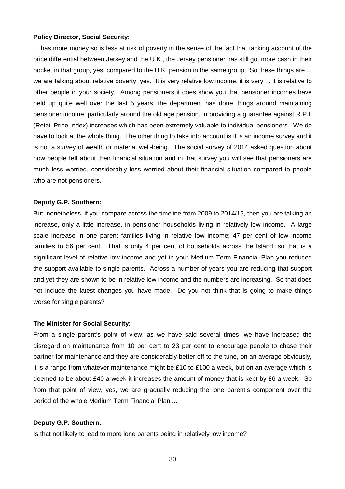... has more money so is less at risk of poverty in the sense of the fact that tacking account of the price differential between Jersey and the U.K., the Jersey pensioner has still got more cash in their pocket in that group, yes, compared to the U.K. pension in the same group. So these things are ... we are talking about relative poverty, yes. It is very relative low income, it is very ... it is relative to other people in your society. Among pensioners it does show you that pensioner incomes have held up quite well over the last 5 years, the department has done things around maintaining pensioner income, particularly around the old age pension, in providing a guarantee against R.P.I. (Retail Price Index) increases which has been extremely valuable to individual pensioners. We do have to look at the whole thing. The other thing to take into account is it is an income survey and it is not a survey of wealth or material well-being. The social survey of 2014 asked question about how people felt about their financial situation and in that survey you will see that pensioners are much less worried, considerably less worried about their financial situation compared to people who are not pensioners.

#### **Deputy G.P. Southern:**

But, nonetheless, if you compare across the timeline from 2009 to 2014/15, then you are talking an increase, only a little increase, in pensioner households living in relatively low income. A large scale increase in one parent families living in relative low income; 47 per cent of low income families to 56 per cent. That is only 4 per cent of households across the Island, so that is a significant level of relative low income and yet in your Medium Term Financial Plan you reduced the support available to single parents. Across a number of years you are reducing that support and yet they are shown to be in relative low income and the numbers are increasing. So that does not include the latest changes you have made. Do you not think that is going to make things worse for single parents?

#### **The Minister for Social Security:**

From a single parent's point of view, as we have said several times, we have increased the disregard on maintenance from 10 per cent to 23 per cent to encourage people to chase their partner for maintenance and they are considerably better off to the tune, on an average obviously, it is a range from whatever maintenance might be £10 to £100 a week, but on an average which is deemed to be about £40 a week it increases the amount of money that is kept by £6 a week. So from that point of view, yes, we are gradually reducing the lone parent's component over the period of the whole Medium Term Financial Plan ...

#### **Deputy G.P. Southern:**

Is that not likely to lead to more lone parents being in relatively low income?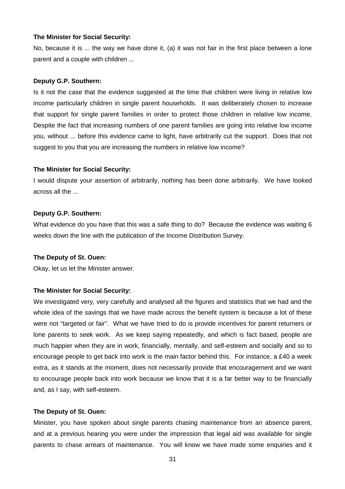No, because it is ... the way we have done it, (a) it was not fair in the first place between a lone parent and a couple with children ...

#### **Deputy G.P. Southern:**

Is it not the case that the evidence suggested at the time that children were living in relative low income particularly children in single parent households. It was deliberately chosen to increase that support for single parent families in order to protect those children in relative low income. Despite the fact that increasing numbers of one parent families are going into relative low income you, without ... before this evidence came to light, have arbitrarily cut the support. Does that not suggest to you that you are increasing the numbers in relative low income?

#### **The Minister for Social Security:**

I would dispute your assertion of arbitrarily, nothing has been done arbitrarily. We have looked across all the ...

#### **Deputy G.P. Southern:**

What evidence do you have that this was a safe thing to do? Because the evidence was waiting 6 weeks down the line with the publication of the Income Distribution Survey.

#### **The Deputy of St. Ouen:**

Okay, let us let the Minister answer.

#### **The Minister for Social Security:**

We investigated very, very carefully and analysed all the figures and statistics that we had and the whole idea of the savings that we have made across the benefit system is because a lot of these were not "targeted or fair". What we have tried to do is provide incentives for parent returners or lone parents to seek work. As we keep saying repeatedly, and which is fact based, people are much happier when they are in work, financially, mentally, and self-esteem and socially and so to encourage people to get back into work is the main factor behind this. For instance, a £40 a week extra, as it stands at the moment, does not necessarily provide that encouragement and we want to encourage people back into work because we know that it is a far better way to be financially and, as I say, with self-esteem.

#### **The Deputy of St. Ouen:**

Minister, you have spoken about single parents chasing maintenance from an absence parent, and at a previous hearing you were under the impression that legal aid was available for single parents to chase arrears of maintenance. You will know we have made some enquiries and it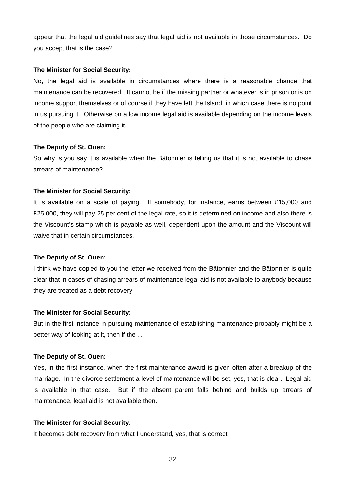appear that the legal aid guidelines say that legal aid is not available in those circumstances. Do you accept that is the case?

#### **The Minister for Social Security:**

No, the legal aid is available in circumstances where there is a reasonable chance that maintenance can be recovered. It cannot be if the missing partner or whatever is in prison or is on income support themselves or of course if they have left the Island, in which case there is no point in us pursuing it. Otherwise on a low income legal aid is available depending on the income levels of the people who are claiming it.

#### **The Deputy of St. Ouen:**

So why is you say it is available when the Bâtonnier is telling us that it is not available to chase arrears of maintenance?

#### **The Minister for Social Security:**

It is available on a scale of paying. If somebody, for instance, earns between £15,000 and £25,000, they will pay 25 per cent of the legal rate, so it is determined on income and also there is the Viscount's stamp which is payable as well, dependent upon the amount and the Viscount will waive that in certain circumstances.

#### **The Deputy of St. Ouen:**

I think we have copied to you the letter we received from the Bâtonnier and the Bâtonnier is quite clear that in cases of chasing arrears of maintenance legal aid is not available to anybody because they are treated as a debt recovery.

#### **The Minister for Social Security:**

But in the first instance in pursuing maintenance of establishing maintenance probably might be a better way of looking at it, then if the ...

#### **The Deputy of St. Ouen:**

Yes, in the first instance, when the first maintenance award is given often after a breakup of the marriage. In the divorce settlement a level of maintenance will be set, yes, that is clear. Legal aid is available in that case. But if the absent parent falls behind and builds up arrears of maintenance, legal aid is not available then.

#### **The Minister for Social Security:**

It becomes debt recovery from what I understand, yes, that is correct.

32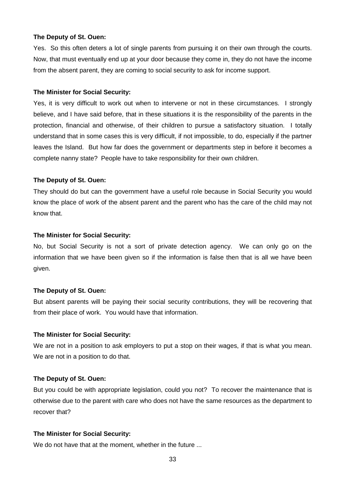#### **The Deputy of St. Ouen:**

Yes. So this often deters a lot of single parents from pursuing it on their own through the courts. Now, that must eventually end up at your door because they come in, they do not have the income from the absent parent, they are coming to social security to ask for income support.

#### **The Minister for Social Security:**

Yes, it is very difficult to work out when to intervene or not in these circumstances. I strongly believe, and I have said before, that in these situations it is the responsibility of the parents in the protection, financial and otherwise, of their children to pursue a satisfactory situation. I totally understand that in some cases this is very difficult, if not impossible, to do, especially if the partner leaves the Island. But how far does the government or departments step in before it becomes a complete nanny state? People have to take responsibility for their own children.

# **The Deputy of St. Ouen:**

They should do but can the government have a useful role because in Social Security you would know the place of work of the absent parent and the parent who has the care of the child may not know that.

#### **The Minister for Social Security:**

No, but Social Security is not a sort of private detection agency. We can only go on the information that we have been given so if the information is false then that is all we have been given.

# **The Deputy of St. Ouen:**

But absent parents will be paying their social security contributions, they will be recovering that from their place of work. You would have that information.

# **The Minister for Social Security:**

We are not in a position to ask employers to put a stop on their wages, if that is what you mean. We are not in a position to do that.

# **The Deputy of St. Ouen:**

But you could be with appropriate legislation, could you not? To recover the maintenance that is otherwise due to the parent with care who does not have the same resources as the department to recover that?

# **The Minister for Social Security:**

We do not have that at the moment, whether in the future ...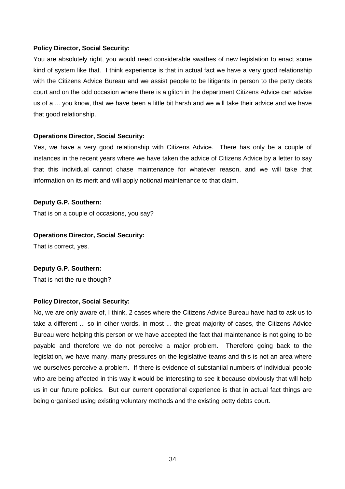You are absolutely right, you would need considerable swathes of new legislation to enact some kind of system like that. I think experience is that in actual fact we have a very good relationship with the Citizens Advice Bureau and we assist people to be litigants in person to the petty debts court and on the odd occasion where there is a glitch in the department Citizens Advice can advise us of a ... you know, that we have been a little bit harsh and we will take their advice and we have that good relationship.

# **Operations Director, Social Security:**

Yes, we have a very good relationship with Citizens Advice. There has only be a couple of instances in the recent years where we have taken the advice of Citizens Advice by a letter to say that this individual cannot chase maintenance for whatever reason, and we will take that information on its merit and will apply notional maintenance to that claim.

#### **Deputy G.P. Southern:**

That is on a couple of occasions, you say?

#### **Operations Director, Social Security:**

That is correct, yes.

# **Deputy G.P. Southern:**

That is not the rule though?

# **Policy Director, Social Security:**

No, we are only aware of, I think, 2 cases where the Citizens Advice Bureau have had to ask us to take a different ... so in other words, in most ... the great majority of cases, the Citizens Advice Bureau were helping this person or we have accepted the fact that maintenance is not going to be payable and therefore we do not perceive a major problem. Therefore going back to the legislation, we have many, many pressures on the legislative teams and this is not an area where we ourselves perceive a problem. If there is evidence of substantial numbers of individual people who are being affected in this way it would be interesting to see it because obviously that will help us in our future policies. But our current operational experience is that in actual fact things are being organised using existing voluntary methods and the existing petty debts court.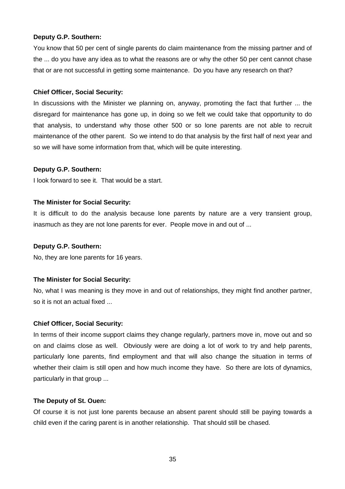# **Deputy G.P. Southern:**

You know that 50 per cent of single parents do claim maintenance from the missing partner and of the ... do you have any idea as to what the reasons are or why the other 50 per cent cannot chase that or are not successful in getting some maintenance. Do you have any research on that?

#### **Chief Officer, Social Security:**

In discussions with the Minister we planning on, anyway, promoting the fact that further ... the disregard for maintenance has gone up, in doing so we felt we could take that opportunity to do that analysis, to understand why those other 500 or so lone parents are not able to recruit maintenance of the other parent. So we intend to do that analysis by the first half of next year and so we will have some information from that, which will be quite interesting.

#### **Deputy G.P. Southern:**

I look forward to see it. That would be a start.

#### **The Minister for Social Security:**

It is difficult to do the analysis because lone parents by nature are a very transient group, inasmuch as they are not lone parents for ever. People move in and out of ...

#### **Deputy G.P. Southern:**

No, they are lone parents for 16 years.

# **The Minister for Social Security:**

No, what I was meaning is they move in and out of relationships, they might find another partner, so it is not an actual fixed ...

#### **Chief Officer, Social Security:**

In terms of their income support claims they change regularly, partners move in, move out and so on and claims close as well. Obviously were are doing a lot of work to try and help parents, particularly lone parents, find employment and that will also change the situation in terms of whether their claim is still open and how much income they have. So there are lots of dynamics, particularly in that group ...

#### **The Deputy of St. Ouen:**

Of course it is not just lone parents because an absent parent should still be paying towards a child even if the caring parent is in another relationship. That should still be chased.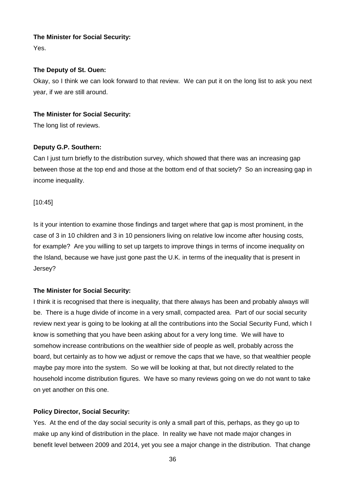Yes.

# **The Deputy of St. Ouen:**

Okay, so I think we can look forward to that review. We can put it on the long list to ask you next year, if we are still around.

# **The Minister for Social Security:**

The long list of reviews.

# **Deputy G.P. Southern:**

Can I just turn briefly to the distribution survey, which showed that there was an increasing gap between those at the top end and those at the bottom end of that society? So an increasing gap in income inequality.

[10:45]

Is it your intention to examine those findings and target where that gap is most prominent, in the case of 3 in 10 children and 3 in 10 pensioners living on relative low income after housing costs, for example? Are you willing to set up targets to improve things in terms of income inequality on the Island, because we have just gone past the U.K. in terms of the inequality that is present in Jersey?

# **The Minister for Social Security:**

I think it is recognised that there is inequality, that there always has been and probably always will be. There is a huge divide of income in a very small, compacted area. Part of our social security review next year is going to be looking at all the contributions into the Social Security Fund, which I know is something that you have been asking about for a very long time. We will have to somehow increase contributions on the wealthier side of people as well, probably across the board, but certainly as to how we adjust or remove the caps that we have, so that wealthier people maybe pay more into the system. So we will be looking at that, but not directly related to the household income distribution figures. We have so many reviews going on we do not want to take on yet another on this one.

# **Policy Director, Social Security:**

Yes. At the end of the day social security is only a small part of this, perhaps, as they go up to make up any kind of distribution in the place. In reality we have not made major changes in benefit level between 2009 and 2014, yet you see a major change in the distribution. That change

36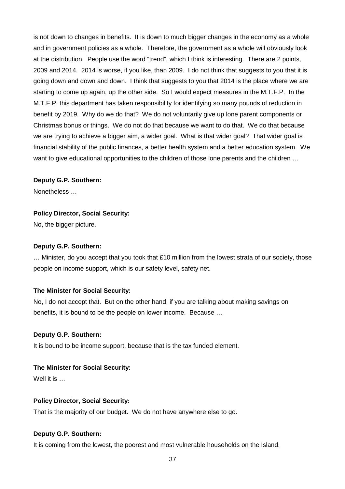is not down to changes in benefits. It is down to much bigger changes in the economy as a whole and in government policies as a whole. Therefore, the government as a whole will obviously look at the distribution. People use the word "trend", which I think is interesting. There are 2 points, 2009 and 2014. 2014 is worse, if you like, than 2009. I do not think that suggests to you that it is going down and down and down. I think that suggests to you that 2014 is the place where we are starting to come up again, up the other side. So I would expect measures in the M.T.F.P. In the M.T.F.P. this department has taken responsibility for identifying so many pounds of reduction in benefit by 2019. Why do we do that? We do not voluntarily give up lone parent components or Christmas bonus or things. We do not do that because we want to do that. We do that because we are trying to achieve a bigger aim, a wider goal. What is that wider goal? That wider goal is financial stability of the public finances, a better health system and a better education system. We want to give educational opportunities to the children of those lone parents and the children ...

# **Deputy G.P. Southern:**

Nonetheless …

# **Policy Director, Social Security:**

No, the bigger picture.

# **Deputy G.P. Southern:**

… Minister, do you accept that you took that £10 million from the lowest strata of our society, those people on income support, which is our safety level, safety net.

# **The Minister for Social Security:**

No, I do not accept that. But on the other hand, if you are talking about making savings on benefits, it is bound to be the people on lower income. Because …

# **Deputy G.P. Southern:**

It is bound to be income support, because that is the tax funded element.

# **The Minister for Social Security:**

Well it is …

# **Policy Director, Social Security:**

That is the majority of our budget. We do not have anywhere else to go.

# **Deputy G.P. Southern:**

It is coming from the lowest, the poorest and most vulnerable households on the Island.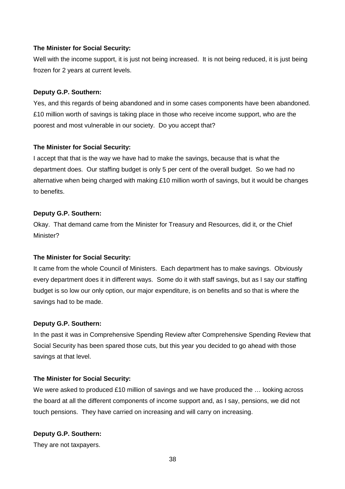Well with the income support, it is just not being increased. It is not being reduced, it is just being frozen for 2 years at current levels.

#### **Deputy G.P. Southern:**

Yes, and this regards of being abandoned and in some cases components have been abandoned. £10 million worth of savings is taking place in those who receive income support, who are the poorest and most vulnerable in our society. Do you accept that?

#### **The Minister for Social Security:**

I accept that that is the way we have had to make the savings, because that is what the department does. Our staffing budget is only 5 per cent of the overall budget. So we had no alternative when being charged with making £10 million worth of savings, but it would be changes to benefits.

#### **Deputy G.P. Southern:**

Okay. That demand came from the Minister for Treasury and Resources, did it, or the Chief Minister?

# **The Minister for Social Security:**

It came from the whole Council of Ministers. Each department has to make savings. Obviously every department does it in different ways. Some do it with staff savings, but as I say our staffing budget is so low our only option, our major expenditure, is on benefits and so that is where the savings had to be made.

#### **Deputy G.P. Southern:**

In the past it was in Comprehensive Spending Review after Comprehensive Spending Review that Social Security has been spared those cuts, but this year you decided to go ahead with those savings at that level.

#### **The Minister for Social Security:**

We were asked to produced £10 million of savings and we have produced the ... looking across the board at all the different components of income support and, as I say, pensions, we did not touch pensions. They have carried on increasing and will carry on increasing.

# **Deputy G.P. Southern:**

They are not taxpayers.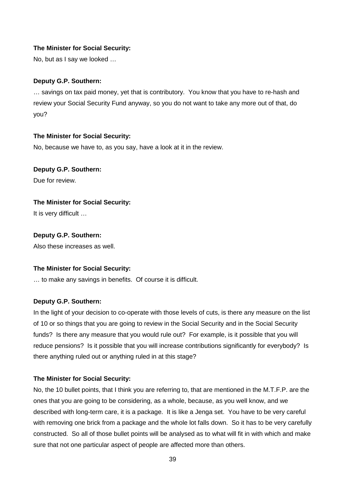No, but as I say we looked …

# **Deputy G.P. Southern:**

… savings on tax paid money, yet that is contributory. You know that you have to re-hash and review your Social Security Fund anyway, so you do not want to take any more out of that, do you?

# **The Minister for Social Security:**

No, because we have to, as you say, have a look at it in the review.

# **Deputy G.P. Southern:**

Due for review.

# **The Minister for Social Security:**

It is very difficult …

# **Deputy G.P. Southern:**

Also these increases as well.

# **The Minister for Social Security:**

… to make any savings in benefits. Of course it is difficult.

# **Deputy G.P. Southern:**

In the light of your decision to co-operate with those levels of cuts, is there any measure on the list of 10 or so things that you are going to review in the Social Security and in the Social Security funds? Is there any measure that you would rule out? For example, is it possible that you will reduce pensions? Is it possible that you will increase contributions significantly for everybody? Is there anything ruled out or anything ruled in at this stage?

# **The Minister for Social Security:**

No, the 10 bullet points, that I think you are referring to, that are mentioned in the M.T.F.P. are the ones that you are going to be considering, as a whole, because, as you well know, and we described with long-term care, it is a package. It is like a Jenga set. You have to be very careful with removing one brick from a package and the whole lot falls down. So it has to be very carefully constructed. So all of those bullet points will be analysed as to what will fit in with which and make sure that not one particular aspect of people are affected more than others.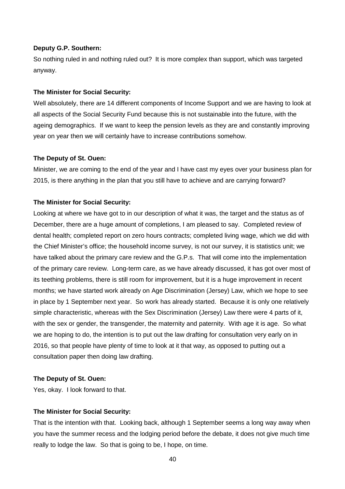#### **Deputy G.P. Southern:**

So nothing ruled in and nothing ruled out? It is more complex than support, which was targeted anyway.

#### **The Minister for Social Security:**

Well absolutely, there are 14 different components of Income Support and we are having to look at all aspects of the Social Security Fund because this is not sustainable into the future, with the ageing demographics. If we want to keep the pension levels as they are and constantly improving year on year then we will certainly have to increase contributions somehow.

#### **The Deputy of St. Ouen:**

Minister, we are coming to the end of the year and I have cast my eyes over your business plan for 2015, is there anything in the plan that you still have to achieve and are carrying forward?

#### **The Minister for Social Security:**

Looking at where we have got to in our description of what it was, the target and the status as of December, there are a huge amount of completions, I am pleased to say. Completed review of dental health; completed report on zero hours contracts; completed living wage, which we did with the Chief Minister's office; the household income survey, is not our survey, it is statistics unit; we have talked about the primary care review and the G.P.s. That will come into the implementation of the primary care review. Long-term care, as we have already discussed, it has got over most of its teething problems, there is still room for improvement, but it is a huge improvement in recent months; we have started work already on Age Discrimination (Jersey) Law, which we hope to see in place by 1 September next year. So work has already started. Because it is only one relatively simple characteristic, whereas with the Sex Discrimination (Jersey) Law there were 4 parts of it, with the sex or gender, the transgender, the maternity and paternity. With age it is age. So what we are hoping to do, the intention is to put out the law drafting for consultation very early on in 2016, so that people have plenty of time to look at it that way, as opposed to putting out a consultation paper then doing law drafting.

#### **The Deputy of St. Ouen:**

Yes, okay. I look forward to that.

#### **The Minister for Social Security:**

That is the intention with that. Looking back, although 1 September seems a long way away when you have the summer recess and the lodging period before the debate, it does not give much time really to lodge the law. So that is going to be, I hope, on time.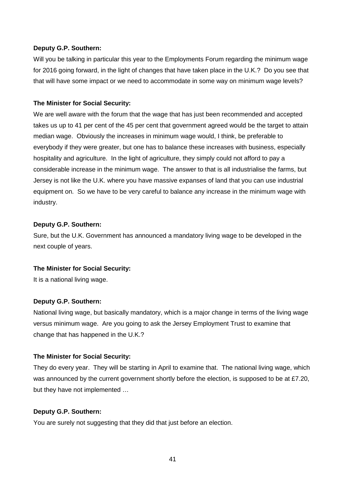#### **Deputy G.P. Southern:**

Will you be talking in particular this year to the Employments Forum regarding the minimum wage for 2016 going forward, in the light of changes that have taken place in the U.K.? Do you see that that will have some impact or we need to accommodate in some way on minimum wage levels?

# **The Minister for Social Security:**

We are well aware with the forum that the wage that has just been recommended and accepted takes us up to 41 per cent of the 45 per cent that government agreed would be the target to attain median wage. Obviously the increases in minimum wage would, I think, be preferable to everybody if they were greater, but one has to balance these increases with business, especially hospitality and agriculture. In the light of agriculture, they simply could not afford to pay a considerable increase in the minimum wage. The answer to that is all industrialise the farms, but Jersey is not like the U.K. where you have massive expanses of land that you can use industrial equipment on. So we have to be very careful to balance any increase in the minimum wage with industry.

#### **Deputy G.P. Southern:**

Sure, but the U.K. Government has announced a mandatory living wage to be developed in the next couple of years.

#### **The Minister for Social Security:**

It is a national living wage.

# **Deputy G.P. Southern:**

National living wage, but basically mandatory, which is a major change in terms of the living wage versus minimum wage. Are you going to ask the Jersey Employment Trust to examine that change that has happened in the U.K.?

#### **The Minister for Social Security:**

They do every year. They will be starting in April to examine that. The national living wage, which was announced by the current government shortly before the election, is supposed to be at £7.20, but they have not implemented …

# **Deputy G.P. Southern:**

You are surely not suggesting that they did that just before an election.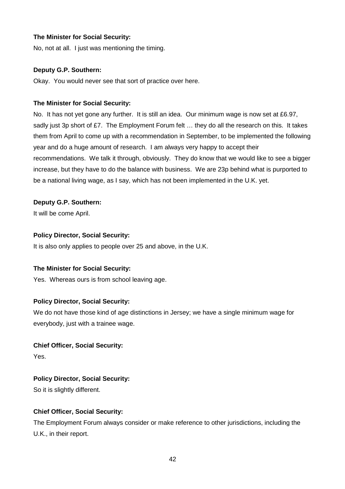No, not at all. I just was mentioning the timing.

# **Deputy G.P. Southern:**

Okay. You would never see that sort of practice over here.

# **The Minister for Social Security:**

No. It has not yet gone any further. It is still an idea. Our minimum wage is now set at £6.97, sadly just 3p short of £7. The Employment Forum felt ... they do all the research on this. It takes them from April to come up with a recommendation in September, to be implemented the following year and do a huge amount of research. I am always very happy to accept their recommendations. We talk it through, obviously. They do know that we would like to see a bigger increase, but they have to do the balance with business. We are 23p behind what is purported to be a national living wage, as I say, which has not been implemented in the U.K. yet.

# **Deputy G.P. Southern:**

It will be come April.

# **Policy Director, Social Security:**

It is also only applies to people over 25 and above, in the U.K.

# **The Minister for Social Security:**

Yes. Whereas ours is from school leaving age.

# **Policy Director, Social Security:**

We do not have those kind of age distinctions in Jersey; we have a single minimum wage for everybody, just with a trainee wage.

# **Chief Officer, Social Security:**

Yes.

# **Policy Director, Social Security:**

So it is slightly different.

# **Chief Officer, Social Security:**

The Employment Forum always consider or make reference to other jurisdictions, including the U.K., in their report.